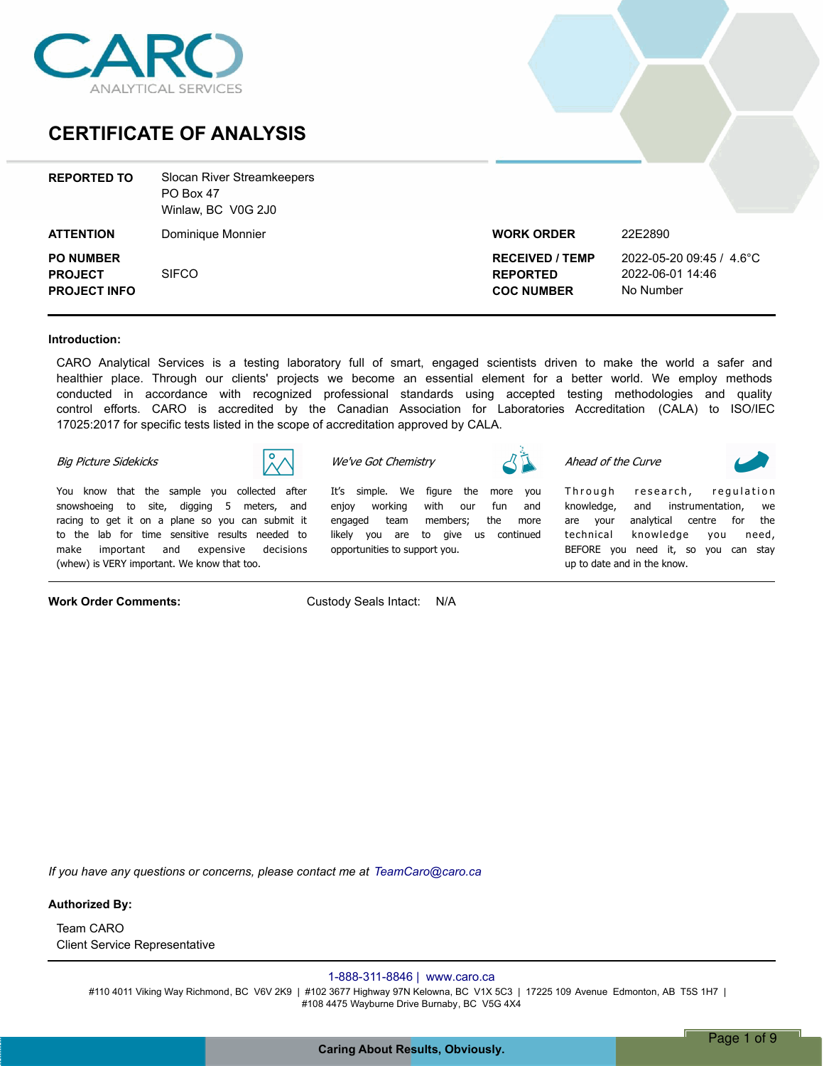

### **CERTIFICATE OF ANALYSIS**

| <b>REPORTED TO</b>                                        | Slocan River Streamkeepers<br>PO Box 47<br>Winlaw, BC V0G 2J0 |                                                                |                                                           |
|-----------------------------------------------------------|---------------------------------------------------------------|----------------------------------------------------------------|-----------------------------------------------------------|
| <b>ATTENTION</b>                                          | Dominique Monnier                                             | <b>WORK ORDER</b>                                              | 22E2890                                                   |
| <b>PO NUMBER</b><br><b>PROJECT</b><br><b>PROJECT INFO</b> | <b>SIFCO</b>                                                  | <b>RECEIVED / TEMP</b><br><b>REPORTED</b><br><b>COC NUMBER</b> | 2022-05-20 09:45 / 4.6°C<br>2022-06-01 14:46<br>No Number |

#### **Introduction:**

CARO Analytical Services is a testing laboratory full of smart, engaged scientists driven to make the world a safer and healthier place. Through our clients' projects we become an essential element for a better world. We employ methods conducted in accordance with recognized professional standards using accepted testing methodologies and quality control efforts. CARO is accredited by the Canadian Association for Laboratories Accreditation (CALA) to ISO/IEC 17025:2017 for specific tests listed in the scope of accreditation approved by CALA.

*Itís simple. We figure the more you* 

#### *Big Picture Sidekicks*



*You know that the sample you collected after snowshoeing to site, digging 5 meters, and racing to get it on a plane so you can submit it to the lab for time sensitive results needed to make important and expensive decisions (whew) is VERY important. We know that too.*

**Work Order Comments:** Custody Seals Intact: N/A

*opportunities to support you.*

*We've Got Chemistry*

*Ahead of the Curve*

Through research, regulation *knowledge, and instrumentation, we are your analytical centre for the technical knowledge you need, BEFORE you need it, so you can stay* 

*enjoy working with our fun and engaged team members; the more likely you are to give us continued up to date and in the know.*

*If you have any questions or concerns, please contact me at TeamCaro@caro.ca*

**Authorized By:**

Client Service Representative Team CARO

### 1-888-311-8846 | www.caro.ca

#110 4011 Viking Way Richmond, BC V6V 2K9 | #102 3677 Highway 97N Kelowna, BC V1X 5C3 | 17225 109 Avenue Edmonton, AB T5S 1H7 | #108 4475 Wayburne Drive Burnaby, BC V5G 4X4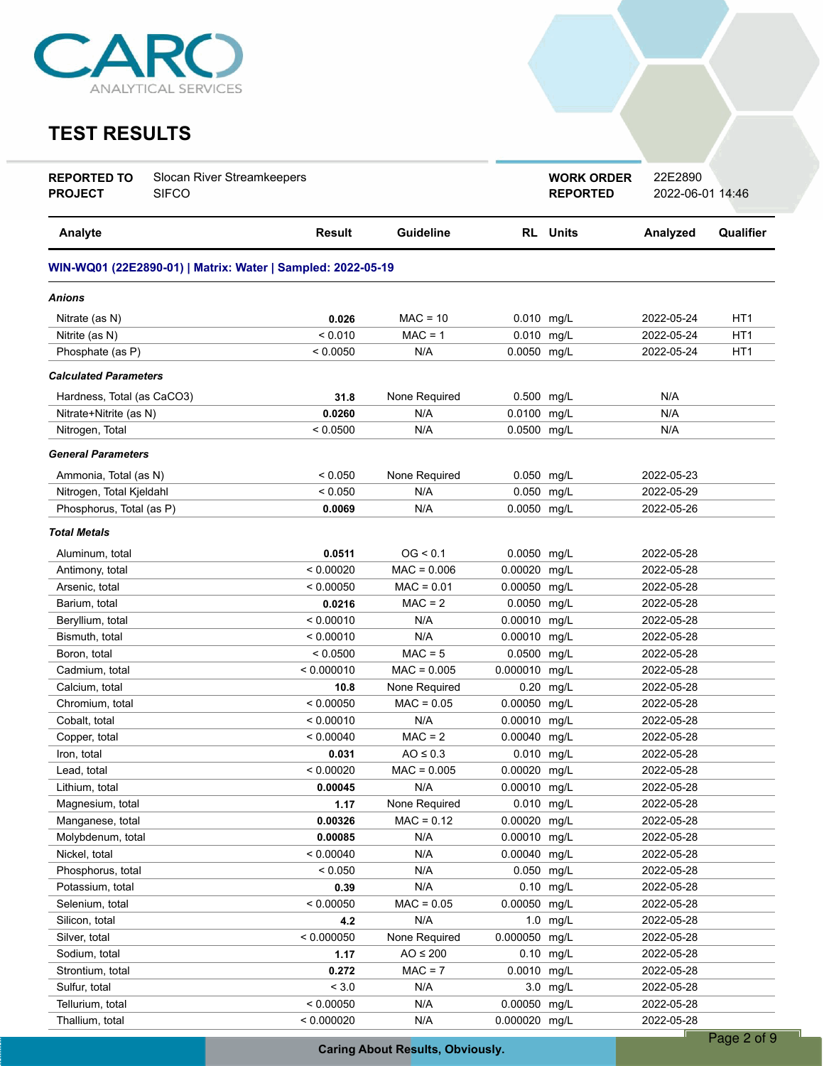

# **TEST RESULTS**

| <b>Guideline</b><br><b>RL</b> Units<br>Qualifier<br>Analyte<br><b>Result</b><br>Analyzed<br>WIN-WQ01 (22E2890-01)   Matrix: Water   Sampled: 2022-05-19<br>Anions<br>$MAC = 10$<br>0.026<br>0.010 mg/L<br>2022-05-24<br>HT1<br>Nitrate (as N)<br>< 0.010<br>$MAC = 1$<br>0.010 mg/L<br>HT <sub>1</sub><br>Nitrite (as N)<br>2022-05-24<br>< 0.0050<br>N/A<br>0.0050 mg/L<br>HT <sub>1</sub><br>Phosphate (as P)<br>2022-05-24<br><b>Calculated Parameters</b><br>N/A<br>31.8<br>None Required<br>0.500 mg/L<br>Hardness, Total (as CaCO3)<br>0.0100 mg/L<br>N/A<br>Nitrate+Nitrite (as N)<br>0.0260<br>N/A<br>N/A<br>0.0500 mg/L<br>Nitrogen, Total<br>< 0.0500<br>N/A<br><b>General Parameters</b><br>< 0.050<br>None Required<br>0.050 mg/L<br>Ammonia, Total (as N)<br>2022-05-23<br>Nitrogen, Total Kjeldahl<br>0.050<br>2022-05-29<br>< 0.050<br>N/A<br>mg/L<br>0.0050 mg/L<br>Phosphorus, Total (as P)<br>N/A<br>2022-05-26<br>0.0069<br><b>Total Metals</b><br>0.0511<br>OG < 0.1<br>0.0050 mg/L<br>2022-05-28<br>Aluminum, total<br>< 0.00020<br>0.00020<br>Antimony, total<br>$MAC = 0.006$<br>mg/L<br>2022-05-28<br>$MAC = 0.01$<br>Arsenic, total<br>< 0.00050<br>0.00050 mg/L<br>2022-05-28<br>$MAC = 2$<br>Barium, total<br>0.0050 mg/L<br>2022-05-28<br>0.0216<br>< 0.00010<br>N/A<br>0.00010<br>2022-05-28<br>Beryllium, total<br>mg/L<br>N/A<br>Bismuth, total<br>< 0.00010<br>0.00010<br>mg/L<br>2022-05-28<br>$MAC = 5$<br>< 0.0500<br>0.0500<br>mg/L<br>2022-05-28<br>Boron, total<br>0.000010<br>Cadmium, total<br>< 0.000010<br>$MAC = 0.005$<br>mg/L<br>2022-05-28<br>0.20 mg/L<br>Calcium, total<br>10.8<br>None Required<br>2022-05-28<br>$MAC = 0.05$<br>0.00050 mg/L<br>< 0.00050<br>2022-05-28<br>Chromium, total<br>N/A<br>Cobalt, total<br>< 0.00010<br>0.00010 mg/L<br>2022-05-28<br>$MAC = 2$<br>0.00040<br>Copper, total<br>< 0.00040<br>mg/L<br>2022-05-28<br>$AO \leq 0.3$<br>0.010 mg/L<br>2022-05-28<br>Iron, total<br>0.031<br>Lead, total<br>< 0.00020<br>$MAC = 0.005$<br>$0.00020$ mg/L<br>2022-05-28<br>N/A<br>0.00010 mg/L<br>Lithium, total<br>0.00045<br>2022-05-28<br>None Required<br>0.010 mg/L<br>Magnesium, total<br>2022-05-28<br>1.17<br>$MAC = 0.12$<br>0.00020 mg/L<br>2022-05-28<br>Manganese, total<br>0.00326<br>Molybdenum, total<br>N/A<br>0.00010 mg/L<br>2022-05-28<br>0.00085<br>Nickel, total<br>< 0.00040<br>N/A<br>0.00040 mg/L<br>2022-05-28<br>N/A<br>0.050<br>Phosphorus, total<br>< 0.050<br>mg/L<br>2022-05-28<br>N/A<br>0.39<br>0.10<br>mg/L<br>2022-05-28<br>Potassium, total<br>$MAC = 0.05$<br>0.00050<br>< 0.00050<br>mg/L<br>2022-05-28<br>Selenium, total<br>4.2<br>N/A<br>1.0 mg/L<br>2022-05-28<br>Silicon, total<br>< 0.000050<br>0.000050 mg/L<br>None Required<br>2022-05-28<br>Silver, total<br>0.10 mg/L<br>Sodium, total<br>$AO \leq 200$<br>2022-05-28<br>1.17<br>0.0010 mg/L<br>Strontium, total<br>$MAC = 7$<br>2022-05-28<br>0.272<br>${}_{< 3.0}$<br>Sulfur, total<br>N/A<br>3.0 mg/L<br>2022-05-28<br>< 0.00050<br>N/A<br>0.00050 mg/L<br>Tellurium, total<br>2022-05-28<br>0.000020 mg/L<br>< 0.000020 | <b>REPORTED TO</b><br><b>PROJECT</b> | Slocan River Streamkeepers<br>SIFCO |     | <b>WORK ORDER</b><br><b>REPORTED</b> | 22E2890<br>2022-06-01 14:46 |  |
|---------------------------------------------------------------------------------------------------------------------------------------------------------------------------------------------------------------------------------------------------------------------------------------------------------------------------------------------------------------------------------------------------------------------------------------------------------------------------------------------------------------------------------------------------------------------------------------------------------------------------------------------------------------------------------------------------------------------------------------------------------------------------------------------------------------------------------------------------------------------------------------------------------------------------------------------------------------------------------------------------------------------------------------------------------------------------------------------------------------------------------------------------------------------------------------------------------------------------------------------------------------------------------------------------------------------------------------------------------------------------------------------------------------------------------------------------------------------------------------------------------------------------------------------------------------------------------------------------------------------------------------------------------------------------------------------------------------------------------------------------------------------------------------------------------------------------------------------------------------------------------------------------------------------------------------------------------------------------------------------------------------------------------------------------------------------------------------------------------------------------------------------------------------------------------------------------------------------------------------------------------------------------------------------------------------------------------------------------------------------------------------------------------------------------------------------------------------------------------------------------------------------------------------------------------------------------------------------------------------------------------------------------------------------------------------------------------------------------------------------------------------------------------------------------------------------------------------------------------------------------------------------------------------------------------------------------------------------------------------------------------------------------------------------------------------------------------------------------|--------------------------------------|-------------------------------------|-----|--------------------------------------|-----------------------------|--|
|                                                                                                                                                                                                                                                                                                                                                                                                                                                                                                                                                                                                                                                                                                                                                                                                                                                                                                                                                                                                                                                                                                                                                                                                                                                                                                                                                                                                                                                                                                                                                                                                                                                                                                                                                                                                                                                                                                                                                                                                                                                                                                                                                                                                                                                                                                                                                                                                                                                                                                                                                                                                                                                                                                                                                                                                                                                                                                                                                                                                                                                                                                   |                                      |                                     |     |                                      |                             |  |
|                                                                                                                                                                                                                                                                                                                                                                                                                                                                                                                                                                                                                                                                                                                                                                                                                                                                                                                                                                                                                                                                                                                                                                                                                                                                                                                                                                                                                                                                                                                                                                                                                                                                                                                                                                                                                                                                                                                                                                                                                                                                                                                                                                                                                                                                                                                                                                                                                                                                                                                                                                                                                                                                                                                                                                                                                                                                                                                                                                                                                                                                                                   |                                      |                                     |     |                                      |                             |  |
|                                                                                                                                                                                                                                                                                                                                                                                                                                                                                                                                                                                                                                                                                                                                                                                                                                                                                                                                                                                                                                                                                                                                                                                                                                                                                                                                                                                                                                                                                                                                                                                                                                                                                                                                                                                                                                                                                                                                                                                                                                                                                                                                                                                                                                                                                                                                                                                                                                                                                                                                                                                                                                                                                                                                                                                                                                                                                                                                                                                                                                                                                                   |                                      |                                     |     |                                      |                             |  |
|                                                                                                                                                                                                                                                                                                                                                                                                                                                                                                                                                                                                                                                                                                                                                                                                                                                                                                                                                                                                                                                                                                                                                                                                                                                                                                                                                                                                                                                                                                                                                                                                                                                                                                                                                                                                                                                                                                                                                                                                                                                                                                                                                                                                                                                                                                                                                                                                                                                                                                                                                                                                                                                                                                                                                                                                                                                                                                                                                                                                                                                                                                   |                                      |                                     |     |                                      |                             |  |
|                                                                                                                                                                                                                                                                                                                                                                                                                                                                                                                                                                                                                                                                                                                                                                                                                                                                                                                                                                                                                                                                                                                                                                                                                                                                                                                                                                                                                                                                                                                                                                                                                                                                                                                                                                                                                                                                                                                                                                                                                                                                                                                                                                                                                                                                                                                                                                                                                                                                                                                                                                                                                                                                                                                                                                                                                                                                                                                                                                                                                                                                                                   |                                      |                                     |     |                                      |                             |  |
|                                                                                                                                                                                                                                                                                                                                                                                                                                                                                                                                                                                                                                                                                                                                                                                                                                                                                                                                                                                                                                                                                                                                                                                                                                                                                                                                                                                                                                                                                                                                                                                                                                                                                                                                                                                                                                                                                                                                                                                                                                                                                                                                                                                                                                                                                                                                                                                                                                                                                                                                                                                                                                                                                                                                                                                                                                                                                                                                                                                                                                                                                                   |                                      |                                     |     |                                      |                             |  |
|                                                                                                                                                                                                                                                                                                                                                                                                                                                                                                                                                                                                                                                                                                                                                                                                                                                                                                                                                                                                                                                                                                                                                                                                                                                                                                                                                                                                                                                                                                                                                                                                                                                                                                                                                                                                                                                                                                                                                                                                                                                                                                                                                                                                                                                                                                                                                                                                                                                                                                                                                                                                                                                                                                                                                                                                                                                                                                                                                                                                                                                                                                   |                                      |                                     |     |                                      |                             |  |
|                                                                                                                                                                                                                                                                                                                                                                                                                                                                                                                                                                                                                                                                                                                                                                                                                                                                                                                                                                                                                                                                                                                                                                                                                                                                                                                                                                                                                                                                                                                                                                                                                                                                                                                                                                                                                                                                                                                                                                                                                                                                                                                                                                                                                                                                                                                                                                                                                                                                                                                                                                                                                                                                                                                                                                                                                                                                                                                                                                                                                                                                                                   |                                      |                                     |     |                                      |                             |  |
|                                                                                                                                                                                                                                                                                                                                                                                                                                                                                                                                                                                                                                                                                                                                                                                                                                                                                                                                                                                                                                                                                                                                                                                                                                                                                                                                                                                                                                                                                                                                                                                                                                                                                                                                                                                                                                                                                                                                                                                                                                                                                                                                                                                                                                                                                                                                                                                                                                                                                                                                                                                                                                                                                                                                                                                                                                                                                                                                                                                                                                                                                                   |                                      |                                     |     |                                      |                             |  |
|                                                                                                                                                                                                                                                                                                                                                                                                                                                                                                                                                                                                                                                                                                                                                                                                                                                                                                                                                                                                                                                                                                                                                                                                                                                                                                                                                                                                                                                                                                                                                                                                                                                                                                                                                                                                                                                                                                                                                                                                                                                                                                                                                                                                                                                                                                                                                                                                                                                                                                                                                                                                                                                                                                                                                                                                                                                                                                                                                                                                                                                                                                   |                                      |                                     |     |                                      |                             |  |
|                                                                                                                                                                                                                                                                                                                                                                                                                                                                                                                                                                                                                                                                                                                                                                                                                                                                                                                                                                                                                                                                                                                                                                                                                                                                                                                                                                                                                                                                                                                                                                                                                                                                                                                                                                                                                                                                                                                                                                                                                                                                                                                                                                                                                                                                                                                                                                                                                                                                                                                                                                                                                                                                                                                                                                                                                                                                                                                                                                                                                                                                                                   |                                      |                                     |     |                                      |                             |  |
|                                                                                                                                                                                                                                                                                                                                                                                                                                                                                                                                                                                                                                                                                                                                                                                                                                                                                                                                                                                                                                                                                                                                                                                                                                                                                                                                                                                                                                                                                                                                                                                                                                                                                                                                                                                                                                                                                                                                                                                                                                                                                                                                                                                                                                                                                                                                                                                                                                                                                                                                                                                                                                                                                                                                                                                                                                                                                                                                                                                                                                                                                                   |                                      |                                     |     |                                      |                             |  |
|                                                                                                                                                                                                                                                                                                                                                                                                                                                                                                                                                                                                                                                                                                                                                                                                                                                                                                                                                                                                                                                                                                                                                                                                                                                                                                                                                                                                                                                                                                                                                                                                                                                                                                                                                                                                                                                                                                                                                                                                                                                                                                                                                                                                                                                                                                                                                                                                                                                                                                                                                                                                                                                                                                                                                                                                                                                                                                                                                                                                                                                                                                   |                                      |                                     |     |                                      |                             |  |
|                                                                                                                                                                                                                                                                                                                                                                                                                                                                                                                                                                                                                                                                                                                                                                                                                                                                                                                                                                                                                                                                                                                                                                                                                                                                                                                                                                                                                                                                                                                                                                                                                                                                                                                                                                                                                                                                                                                                                                                                                                                                                                                                                                                                                                                                                                                                                                                                                                                                                                                                                                                                                                                                                                                                                                                                                                                                                                                                                                                                                                                                                                   |                                      |                                     |     |                                      |                             |  |
|                                                                                                                                                                                                                                                                                                                                                                                                                                                                                                                                                                                                                                                                                                                                                                                                                                                                                                                                                                                                                                                                                                                                                                                                                                                                                                                                                                                                                                                                                                                                                                                                                                                                                                                                                                                                                                                                                                                                                                                                                                                                                                                                                                                                                                                                                                                                                                                                                                                                                                                                                                                                                                                                                                                                                                                                                                                                                                                                                                                                                                                                                                   |                                      |                                     |     |                                      |                             |  |
|                                                                                                                                                                                                                                                                                                                                                                                                                                                                                                                                                                                                                                                                                                                                                                                                                                                                                                                                                                                                                                                                                                                                                                                                                                                                                                                                                                                                                                                                                                                                                                                                                                                                                                                                                                                                                                                                                                                                                                                                                                                                                                                                                                                                                                                                                                                                                                                                                                                                                                                                                                                                                                                                                                                                                                                                                                                                                                                                                                                                                                                                                                   |                                      |                                     |     |                                      |                             |  |
|                                                                                                                                                                                                                                                                                                                                                                                                                                                                                                                                                                                                                                                                                                                                                                                                                                                                                                                                                                                                                                                                                                                                                                                                                                                                                                                                                                                                                                                                                                                                                                                                                                                                                                                                                                                                                                                                                                                                                                                                                                                                                                                                                                                                                                                                                                                                                                                                                                                                                                                                                                                                                                                                                                                                                                                                                                                                                                                                                                                                                                                                                                   |                                      |                                     |     |                                      |                             |  |
|                                                                                                                                                                                                                                                                                                                                                                                                                                                                                                                                                                                                                                                                                                                                                                                                                                                                                                                                                                                                                                                                                                                                                                                                                                                                                                                                                                                                                                                                                                                                                                                                                                                                                                                                                                                                                                                                                                                                                                                                                                                                                                                                                                                                                                                                                                                                                                                                                                                                                                                                                                                                                                                                                                                                                                                                                                                                                                                                                                                                                                                                                                   |                                      |                                     |     |                                      |                             |  |
|                                                                                                                                                                                                                                                                                                                                                                                                                                                                                                                                                                                                                                                                                                                                                                                                                                                                                                                                                                                                                                                                                                                                                                                                                                                                                                                                                                                                                                                                                                                                                                                                                                                                                                                                                                                                                                                                                                                                                                                                                                                                                                                                                                                                                                                                                                                                                                                                                                                                                                                                                                                                                                                                                                                                                                                                                                                                                                                                                                                                                                                                                                   |                                      |                                     |     |                                      |                             |  |
|                                                                                                                                                                                                                                                                                                                                                                                                                                                                                                                                                                                                                                                                                                                                                                                                                                                                                                                                                                                                                                                                                                                                                                                                                                                                                                                                                                                                                                                                                                                                                                                                                                                                                                                                                                                                                                                                                                                                                                                                                                                                                                                                                                                                                                                                                                                                                                                                                                                                                                                                                                                                                                                                                                                                                                                                                                                                                                                                                                                                                                                                                                   |                                      |                                     |     |                                      |                             |  |
|                                                                                                                                                                                                                                                                                                                                                                                                                                                                                                                                                                                                                                                                                                                                                                                                                                                                                                                                                                                                                                                                                                                                                                                                                                                                                                                                                                                                                                                                                                                                                                                                                                                                                                                                                                                                                                                                                                                                                                                                                                                                                                                                                                                                                                                                                                                                                                                                                                                                                                                                                                                                                                                                                                                                                                                                                                                                                                                                                                                                                                                                                                   |                                      |                                     |     |                                      |                             |  |
|                                                                                                                                                                                                                                                                                                                                                                                                                                                                                                                                                                                                                                                                                                                                                                                                                                                                                                                                                                                                                                                                                                                                                                                                                                                                                                                                                                                                                                                                                                                                                                                                                                                                                                                                                                                                                                                                                                                                                                                                                                                                                                                                                                                                                                                                                                                                                                                                                                                                                                                                                                                                                                                                                                                                                                                                                                                                                                                                                                                                                                                                                                   |                                      |                                     |     |                                      |                             |  |
|                                                                                                                                                                                                                                                                                                                                                                                                                                                                                                                                                                                                                                                                                                                                                                                                                                                                                                                                                                                                                                                                                                                                                                                                                                                                                                                                                                                                                                                                                                                                                                                                                                                                                                                                                                                                                                                                                                                                                                                                                                                                                                                                                                                                                                                                                                                                                                                                                                                                                                                                                                                                                                                                                                                                                                                                                                                                                                                                                                                                                                                                                                   |                                      |                                     |     |                                      |                             |  |
|                                                                                                                                                                                                                                                                                                                                                                                                                                                                                                                                                                                                                                                                                                                                                                                                                                                                                                                                                                                                                                                                                                                                                                                                                                                                                                                                                                                                                                                                                                                                                                                                                                                                                                                                                                                                                                                                                                                                                                                                                                                                                                                                                                                                                                                                                                                                                                                                                                                                                                                                                                                                                                                                                                                                                                                                                                                                                                                                                                                                                                                                                                   |                                      |                                     |     |                                      |                             |  |
|                                                                                                                                                                                                                                                                                                                                                                                                                                                                                                                                                                                                                                                                                                                                                                                                                                                                                                                                                                                                                                                                                                                                                                                                                                                                                                                                                                                                                                                                                                                                                                                                                                                                                                                                                                                                                                                                                                                                                                                                                                                                                                                                                                                                                                                                                                                                                                                                                                                                                                                                                                                                                                                                                                                                                                                                                                                                                                                                                                                                                                                                                                   |                                      |                                     |     |                                      |                             |  |
|                                                                                                                                                                                                                                                                                                                                                                                                                                                                                                                                                                                                                                                                                                                                                                                                                                                                                                                                                                                                                                                                                                                                                                                                                                                                                                                                                                                                                                                                                                                                                                                                                                                                                                                                                                                                                                                                                                                                                                                                                                                                                                                                                                                                                                                                                                                                                                                                                                                                                                                                                                                                                                                                                                                                                                                                                                                                                                                                                                                                                                                                                                   |                                      |                                     |     |                                      |                             |  |
|                                                                                                                                                                                                                                                                                                                                                                                                                                                                                                                                                                                                                                                                                                                                                                                                                                                                                                                                                                                                                                                                                                                                                                                                                                                                                                                                                                                                                                                                                                                                                                                                                                                                                                                                                                                                                                                                                                                                                                                                                                                                                                                                                                                                                                                                                                                                                                                                                                                                                                                                                                                                                                                                                                                                                                                                                                                                                                                                                                                                                                                                                                   |                                      |                                     |     |                                      |                             |  |
|                                                                                                                                                                                                                                                                                                                                                                                                                                                                                                                                                                                                                                                                                                                                                                                                                                                                                                                                                                                                                                                                                                                                                                                                                                                                                                                                                                                                                                                                                                                                                                                                                                                                                                                                                                                                                                                                                                                                                                                                                                                                                                                                                                                                                                                                                                                                                                                                                                                                                                                                                                                                                                                                                                                                                                                                                                                                                                                                                                                                                                                                                                   |                                      |                                     |     |                                      |                             |  |
|                                                                                                                                                                                                                                                                                                                                                                                                                                                                                                                                                                                                                                                                                                                                                                                                                                                                                                                                                                                                                                                                                                                                                                                                                                                                                                                                                                                                                                                                                                                                                                                                                                                                                                                                                                                                                                                                                                                                                                                                                                                                                                                                                                                                                                                                                                                                                                                                                                                                                                                                                                                                                                                                                                                                                                                                                                                                                                                                                                                                                                                                                                   |                                      |                                     |     |                                      |                             |  |
|                                                                                                                                                                                                                                                                                                                                                                                                                                                                                                                                                                                                                                                                                                                                                                                                                                                                                                                                                                                                                                                                                                                                                                                                                                                                                                                                                                                                                                                                                                                                                                                                                                                                                                                                                                                                                                                                                                                                                                                                                                                                                                                                                                                                                                                                                                                                                                                                                                                                                                                                                                                                                                                                                                                                                                                                                                                                                                                                                                                                                                                                                                   |                                      |                                     |     |                                      |                             |  |
|                                                                                                                                                                                                                                                                                                                                                                                                                                                                                                                                                                                                                                                                                                                                                                                                                                                                                                                                                                                                                                                                                                                                                                                                                                                                                                                                                                                                                                                                                                                                                                                                                                                                                                                                                                                                                                                                                                                                                                                                                                                                                                                                                                                                                                                                                                                                                                                                                                                                                                                                                                                                                                                                                                                                                                                                                                                                                                                                                                                                                                                                                                   |                                      |                                     |     |                                      |                             |  |
|                                                                                                                                                                                                                                                                                                                                                                                                                                                                                                                                                                                                                                                                                                                                                                                                                                                                                                                                                                                                                                                                                                                                                                                                                                                                                                                                                                                                                                                                                                                                                                                                                                                                                                                                                                                                                                                                                                                                                                                                                                                                                                                                                                                                                                                                                                                                                                                                                                                                                                                                                                                                                                                                                                                                                                                                                                                                                                                                                                                                                                                                                                   |                                      |                                     |     |                                      |                             |  |
|                                                                                                                                                                                                                                                                                                                                                                                                                                                                                                                                                                                                                                                                                                                                                                                                                                                                                                                                                                                                                                                                                                                                                                                                                                                                                                                                                                                                                                                                                                                                                                                                                                                                                                                                                                                                                                                                                                                                                                                                                                                                                                                                                                                                                                                                                                                                                                                                                                                                                                                                                                                                                                                                                                                                                                                                                                                                                                                                                                                                                                                                                                   |                                      |                                     |     |                                      |                             |  |
|                                                                                                                                                                                                                                                                                                                                                                                                                                                                                                                                                                                                                                                                                                                                                                                                                                                                                                                                                                                                                                                                                                                                                                                                                                                                                                                                                                                                                                                                                                                                                                                                                                                                                                                                                                                                                                                                                                                                                                                                                                                                                                                                                                                                                                                                                                                                                                                                                                                                                                                                                                                                                                                                                                                                                                                                                                                                                                                                                                                                                                                                                                   |                                      |                                     |     |                                      |                             |  |
|                                                                                                                                                                                                                                                                                                                                                                                                                                                                                                                                                                                                                                                                                                                                                                                                                                                                                                                                                                                                                                                                                                                                                                                                                                                                                                                                                                                                                                                                                                                                                                                                                                                                                                                                                                                                                                                                                                                                                                                                                                                                                                                                                                                                                                                                                                                                                                                                                                                                                                                                                                                                                                                                                                                                                                                                                                                                                                                                                                                                                                                                                                   |                                      |                                     |     |                                      |                             |  |
|                                                                                                                                                                                                                                                                                                                                                                                                                                                                                                                                                                                                                                                                                                                                                                                                                                                                                                                                                                                                                                                                                                                                                                                                                                                                                                                                                                                                                                                                                                                                                                                                                                                                                                                                                                                                                                                                                                                                                                                                                                                                                                                                                                                                                                                                                                                                                                                                                                                                                                                                                                                                                                                                                                                                                                                                                                                                                                                                                                                                                                                                                                   |                                      |                                     |     |                                      |                             |  |
|                                                                                                                                                                                                                                                                                                                                                                                                                                                                                                                                                                                                                                                                                                                                                                                                                                                                                                                                                                                                                                                                                                                                                                                                                                                                                                                                                                                                                                                                                                                                                                                                                                                                                                                                                                                                                                                                                                                                                                                                                                                                                                                                                                                                                                                                                                                                                                                                                                                                                                                                                                                                                                                                                                                                                                                                                                                                                                                                                                                                                                                                                                   |                                      |                                     |     |                                      |                             |  |
|                                                                                                                                                                                                                                                                                                                                                                                                                                                                                                                                                                                                                                                                                                                                                                                                                                                                                                                                                                                                                                                                                                                                                                                                                                                                                                                                                                                                                                                                                                                                                                                                                                                                                                                                                                                                                                                                                                                                                                                                                                                                                                                                                                                                                                                                                                                                                                                                                                                                                                                                                                                                                                                                                                                                                                                                                                                                                                                                                                                                                                                                                                   |                                      |                                     |     |                                      |                             |  |
|                                                                                                                                                                                                                                                                                                                                                                                                                                                                                                                                                                                                                                                                                                                                                                                                                                                                                                                                                                                                                                                                                                                                                                                                                                                                                                                                                                                                                                                                                                                                                                                                                                                                                                                                                                                                                                                                                                                                                                                                                                                                                                                                                                                                                                                                                                                                                                                                                                                                                                                                                                                                                                                                                                                                                                                                                                                                                                                                                                                                                                                                                                   |                                      |                                     |     |                                      |                             |  |
|                                                                                                                                                                                                                                                                                                                                                                                                                                                                                                                                                                                                                                                                                                                                                                                                                                                                                                                                                                                                                                                                                                                                                                                                                                                                                                                                                                                                                                                                                                                                                                                                                                                                                                                                                                                                                                                                                                                                                                                                                                                                                                                                                                                                                                                                                                                                                                                                                                                                                                                                                                                                                                                                                                                                                                                                                                                                                                                                                                                                                                                                                                   |                                      |                                     |     |                                      |                             |  |
|                                                                                                                                                                                                                                                                                                                                                                                                                                                                                                                                                                                                                                                                                                                                                                                                                                                                                                                                                                                                                                                                                                                                                                                                                                                                                                                                                                                                                                                                                                                                                                                                                                                                                                                                                                                                                                                                                                                                                                                                                                                                                                                                                                                                                                                                                                                                                                                                                                                                                                                                                                                                                                                                                                                                                                                                                                                                                                                                                                                                                                                                                                   |                                      |                                     |     |                                      |                             |  |
|                                                                                                                                                                                                                                                                                                                                                                                                                                                                                                                                                                                                                                                                                                                                                                                                                                                                                                                                                                                                                                                                                                                                                                                                                                                                                                                                                                                                                                                                                                                                                                                                                                                                                                                                                                                                                                                                                                                                                                                                                                                                                                                                                                                                                                                                                                                                                                                                                                                                                                                                                                                                                                                                                                                                                                                                                                                                                                                                                                                                                                                                                                   |                                      |                                     |     |                                      |                             |  |
|                                                                                                                                                                                                                                                                                                                                                                                                                                                                                                                                                                                                                                                                                                                                                                                                                                                                                                                                                                                                                                                                                                                                                                                                                                                                                                                                                                                                                                                                                                                                                                                                                                                                                                                                                                                                                                                                                                                                                                                                                                                                                                                                                                                                                                                                                                                                                                                                                                                                                                                                                                                                                                                                                                                                                                                                                                                                                                                                                                                                                                                                                                   | Thallium, total                      |                                     | N/A |                                      | 2022-05-28                  |  |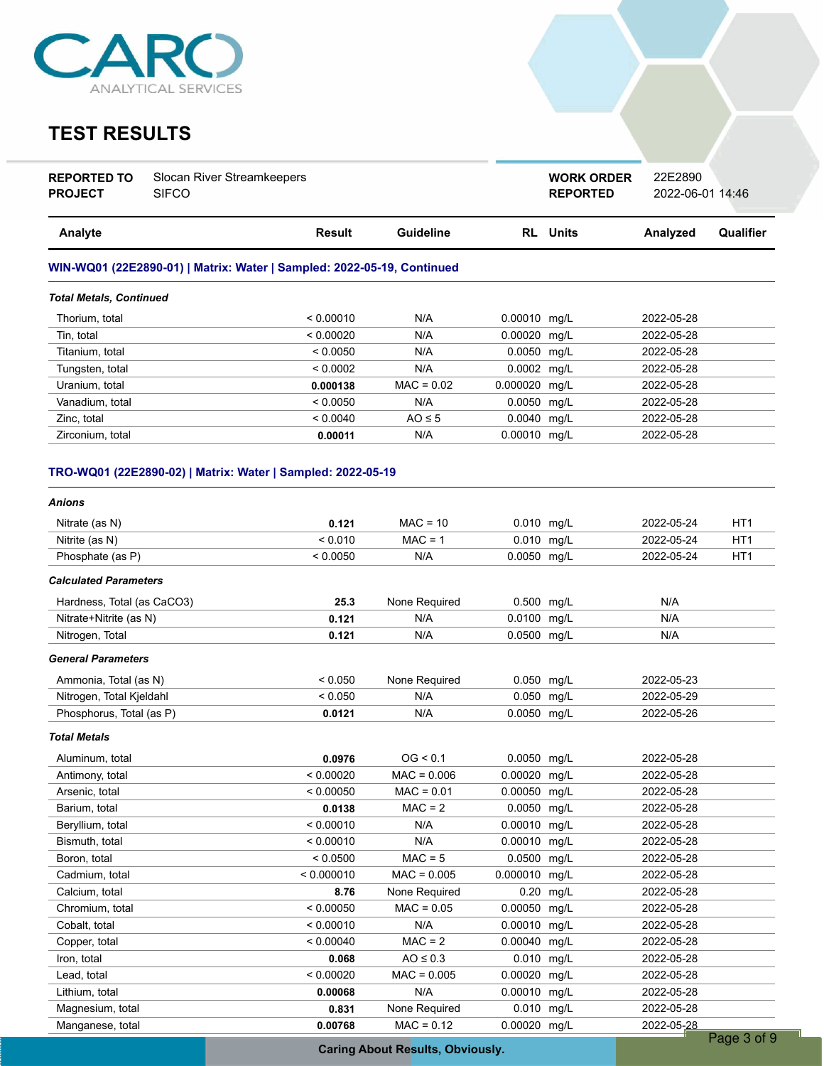

# **TEST RESULTS**

| <b>REPORTED TO</b> | Slocan River Streamkeepers |
|--------------------|----------------------------|
| <b>PROJECT</b>     | <b>SIFCO</b>               |

**REPORTED** 2022-06-01 14:46 **WORK ORDER** 22E2890

| Analyte                                                                | Result    | Guideline    | <b>RL</b> Units | Analyzed   | Qualifier |
|------------------------------------------------------------------------|-----------|--------------|-----------------|------------|-----------|
| WIN-WQ01 (22E2890-01)   Matrix: Water   Sampled: 2022-05-19, Continued |           |              |                 |            |           |
| <b>Total Metals, Continued</b>                                         |           |              |                 |            |           |
| Thorium, total                                                         | < 0.00010 | N/A          | 0.00010 mg/L    | 2022-05-28 |           |
| Tin. total                                                             | < 0.00020 | N/A          | 0.00020 mg/L    | 2022-05-28 |           |
| Titanium, total                                                        | < 0.0050  | N/A          | $0.0050$ mg/L   | 2022-05-28 |           |
| Tungsten, total                                                        | < 0.0002  | N/A          | $0.0002$ mg/L   | 2022-05-28 |           |
| Uranium, total                                                         | 0.000138  | $MAC = 0.02$ | 0.000020 mg/L   | 2022-05-28 |           |
| Vanadium, total                                                        | < 0.0050  | N/A          | 0.0050 mg/L     | 2022-05-28 |           |
| Zinc. total                                                            | < 0.0040  | $AO \leq 5$  | $0.0040$ mg/L   | 2022-05-28 |           |
| Zirconium. total                                                       | 0.00011   | N/A          | 0.00010 mg/L    | 2022-05-28 |           |

### **TRO-WQ01 (22E2890-02) | Matrix: Water | Sampled: 2022-05-19**

| Anions                       |            |               |               |      |            |                 |
|------------------------------|------------|---------------|---------------|------|------------|-----------------|
| Nitrate (as N)               | 0.121      | $MAC = 10$    | 0.010 mg/L    |      | 2022-05-24 | HT <sub>1</sub> |
| Nitrite (as N)               | < 0.010    | $MAC = 1$     | 0.010 mg/L    |      | 2022-05-24 | HT <sub>1</sub> |
| Phosphate (as P)             | < 0.0050   | N/A           | 0.0050 mg/L   |      | 2022-05-24 | HT <sub>1</sub> |
| <b>Calculated Parameters</b> |            |               |               |      |            |                 |
| Hardness, Total (as CaCO3)   | 25.3       | None Required | 0.500 mg/L    |      | N/A        |                 |
| Nitrate+Nitrite (as N)       | 0.121      | N/A           | 0.0100 mg/L   |      | N/A        |                 |
| Nitrogen, Total              | 0.121      | N/A           | 0.0500 mg/L   |      | N/A        |                 |
| <b>General Parameters</b>    |            |               |               |      |            |                 |
| Ammonia, Total (as N)        | < 0.050    | None Required | 0.050 mg/L    |      | 2022-05-23 |                 |
| Nitrogen, Total Kjeldahl     | < 0.050    | N/A           | 0.050 mg/L    |      | 2022-05-29 |                 |
| Phosphorus, Total (as P)     | 0.0121     | N/A           | 0.0050 mg/L   |      | 2022-05-26 |                 |
| <b>Total Metals</b>          |            |               |               |      |            |                 |
| Aluminum, total              | 0.0976     | OG < 0.1      | 0.0050 mg/L   |      | 2022-05-28 |                 |
| Antimony, total              | < 0.00020  | $MAC = 0.006$ | 0.00020       | mq/L | 2022-05-28 |                 |
| Arsenic, total               | < 0.00050  | $MAC = 0.01$  | 0.00050       | mg/L | 2022-05-28 |                 |
| Barium, total                | 0.0138     | $MAC = 2$     | 0.0050 mg/L   |      | 2022-05-28 |                 |
| Beryllium, total             | < 0.00010  | N/A           | 0.00010 mg/L  |      | 2022-05-28 |                 |
| Bismuth, total               | < 0.00010  | N/A           | 0.00010 mg/L  |      | 2022-05-28 |                 |
| Boron, total                 | < 0.0500   | $MAC = 5$     | 0.0500        | mg/L | 2022-05-28 |                 |
| Cadmium, total               | < 0.000010 | $MAC = 0.005$ | 0.000010 mg/L |      | 2022-05-28 |                 |
| Calcium, total               | 8.76       | None Required | 0.20          | mg/L | 2022-05-28 |                 |
| Chromium, total              | < 0.00050  | $MAC = 0.05$  | 0.00050 mg/L  |      | 2022-05-28 |                 |
| Cobalt, total                | < 0.00010  | N/A           | 0.00010       | mg/L | 2022-05-28 |                 |
| Copper, total                | < 0.00040  | $MAC = 2$     | 0.00040 mg/L  |      | 2022-05-28 |                 |
| Iron, total                  | 0.068      | $AO \leq 0.3$ | 0.010 mg/L    |      | 2022-05-28 |                 |
| Lead, total                  | < 0.00020  | $MAC = 0.005$ | 0.00020 mg/L  |      | 2022-05-28 |                 |
| Lithium, total               | 0.00068    | N/A           | 0.00010       | mg/L | 2022-05-28 |                 |
| Magnesium, total             | 0.831      | None Required | 0.010 mg/L    |      | 2022-05-28 |                 |
| Manganese, total             | 0.00768    | $MAC = 0.12$  | 0.00020 mg/L  |      | 2022-05-28 |                 |
|                              |            |               |               |      |            | Page 3 of 9     |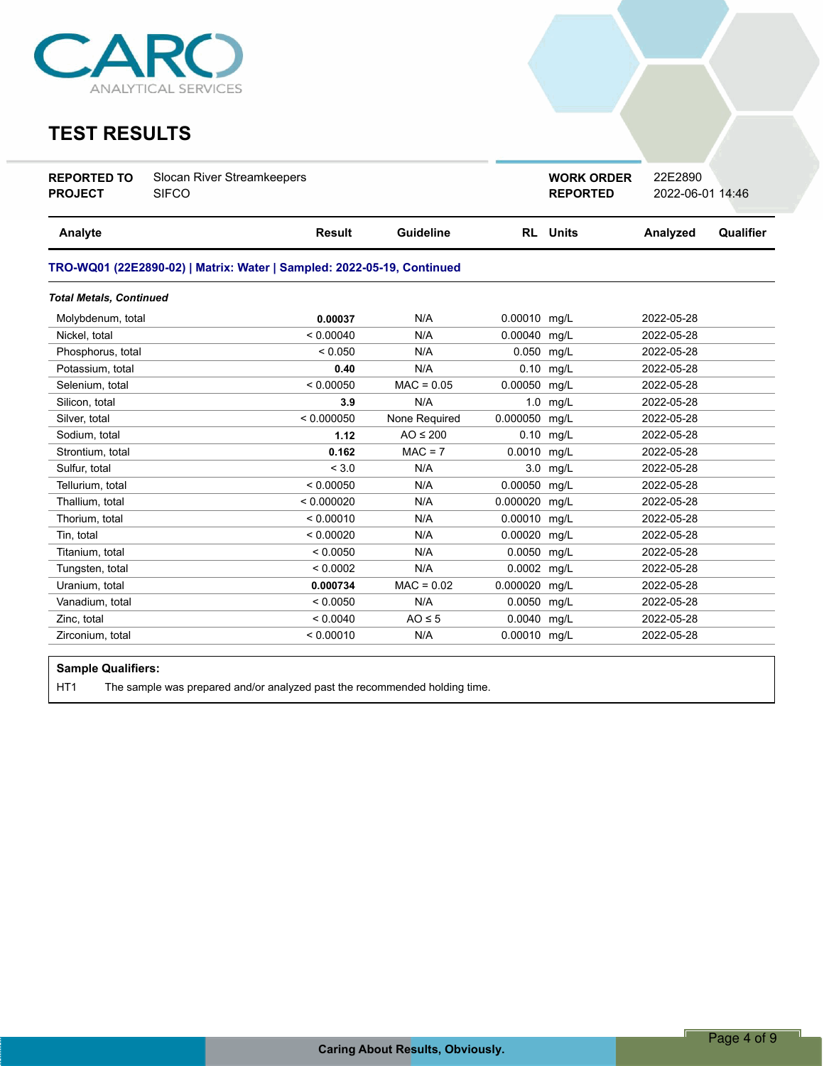

### **TEST RESULTS**

| <b>REPORTED TO</b> | Slocan River Streamkeepers |
|--------------------|----------------------------|
| <b>PROJECT</b>     | <b>SIFCO</b>               |

**REPORTED** 2022-06-01 14:46 **WORK ORDER** 22E2890

| <b>Result</b> | <b>Guideline</b> |                                                                        |      | Analyzed                                                                                                                                                                                                                                                                        | Qualifier |
|---------------|------------------|------------------------------------------------------------------------|------|---------------------------------------------------------------------------------------------------------------------------------------------------------------------------------------------------------------------------------------------------------------------------------|-----------|
|               |                  |                                                                        |      |                                                                                                                                                                                                                                                                                 |           |
|               |                  |                                                                        |      |                                                                                                                                                                                                                                                                                 |           |
| 0.00037       | N/A              |                                                                        |      | 2022-05-28                                                                                                                                                                                                                                                                      |           |
| < 0.00040     | N/A              |                                                                        |      | 2022-05-28                                                                                                                                                                                                                                                                      |           |
| < 0.050       | N/A              |                                                                        |      | 2022-05-28                                                                                                                                                                                                                                                                      |           |
| 0.40          | N/A              |                                                                        |      | 2022-05-28                                                                                                                                                                                                                                                                      |           |
| < 0.00050     | $MAC = 0.05$     |                                                                        |      | 2022-05-28                                                                                                                                                                                                                                                                      |           |
| 3.9           | N/A              |                                                                        | mg/L | 2022-05-28                                                                                                                                                                                                                                                                      |           |
| < 0.000050    | None Required    |                                                                        | mg/L | 2022-05-28                                                                                                                                                                                                                                                                      |           |
| 1.12          | $AO \leq 200$    |                                                                        |      | 2022-05-28                                                                                                                                                                                                                                                                      |           |
| 0.162         | $MAC = 7$        |                                                                        |      | 2022-05-28                                                                                                                                                                                                                                                                      |           |
| < 3.0         | N/A              |                                                                        |      | 2022-05-28                                                                                                                                                                                                                                                                      |           |
| < 0.00050     | N/A              |                                                                        | mq/L | 2022-05-28                                                                                                                                                                                                                                                                      |           |
| < 0.000020    | N/A              |                                                                        |      | 2022-05-28                                                                                                                                                                                                                                                                      |           |
| < 0.00010     | N/A              |                                                                        |      | 2022-05-28                                                                                                                                                                                                                                                                      |           |
| < 0.00020     | N/A              | 0.00020                                                                | mq/L | 2022-05-28                                                                                                                                                                                                                                                                      |           |
| < 0.0050      | N/A              | 0.0050                                                                 | mg/L | 2022-05-28                                                                                                                                                                                                                                                                      |           |
| < 0.0002      | N/A              |                                                                        |      | 2022-05-28                                                                                                                                                                                                                                                                      |           |
| 0.000734      | $MAC = 0.02$     |                                                                        | mg/L | 2022-05-28                                                                                                                                                                                                                                                                      |           |
| < 0.0050      | N/A              |                                                                        |      | 2022-05-28                                                                                                                                                                                                                                                                      |           |
| < 0.0040      | $AO \leq 5$      |                                                                        |      | 2022-05-28                                                                                                                                                                                                                                                                      |           |
| < 0.00010     | N/A              |                                                                        |      | 2022-05-28                                                                                                                                                                                                                                                                      |           |
|               |                  | TRO-WQ01 (22E2890-02)   Matrix: Water   Sampled: 2022-05-19, Continued |      | <b>RL</b> Units<br>0.00010 mg/L<br>0.00040 mg/L<br>0.050 mg/L<br>$0.10$ mg/L<br>0.00050 mg/L<br>1.0<br>0.000050<br>0.10 mg/L<br>0.0010 mg/L<br>3.0 mg/L<br>0.00050<br>0.000020<br>mg/L<br>0.00010 mg/L<br>0.0002 mg/L<br>0.000020<br>0.0050 mg/L<br>0.0040 mg/L<br>0.00010 mg/L |           |

### **Sample Qualifiers:**

HT1 The sample was prepared and/or analyzed past the recommended holding time.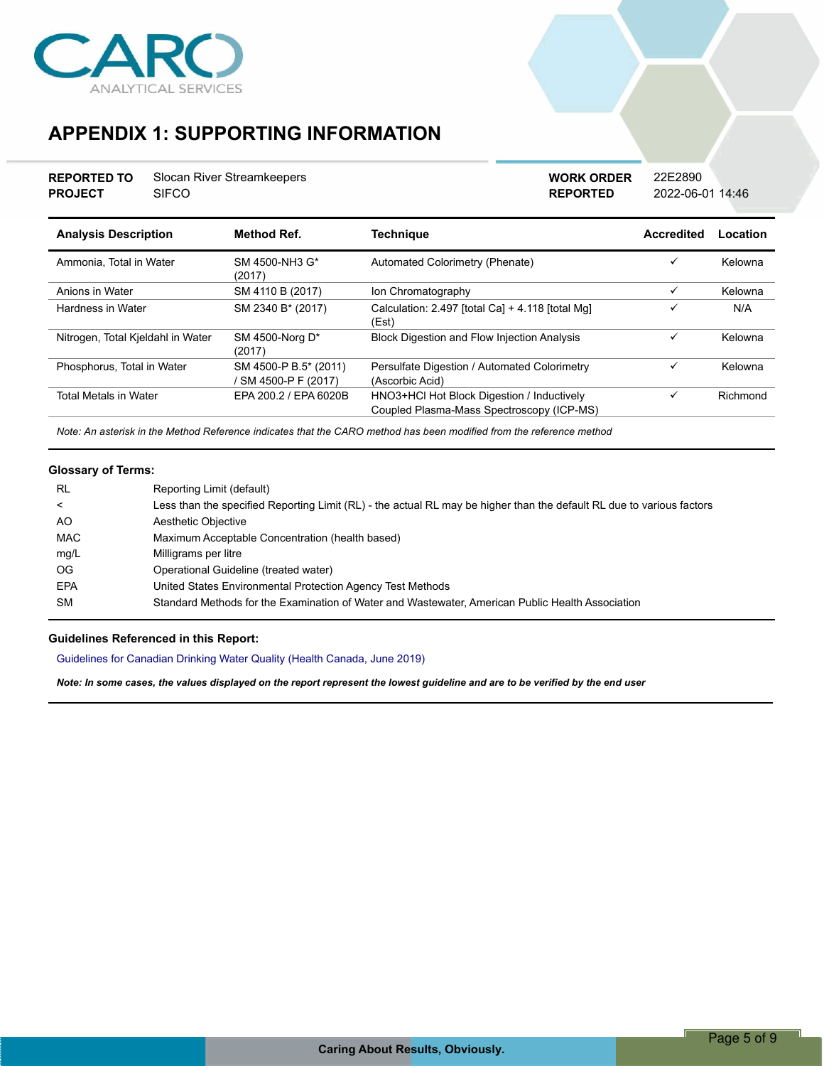

# **APPENDIX 1: SUPPORTING INFORMATION**

| <b>REPORTED TO</b> | Slocan River Streamkeepers |
|--------------------|----------------------------|
| <b>PROJECT</b>     | <b>SIFCO</b>               |

**REPORTED** 2022-06-01 14:46 **WORK ORDER** 22E2890

| <b>Analysis Description</b>       | <b>Method Ref.</b>                            | Techniaue                                                                               | Accredited   | Location |
|-----------------------------------|-----------------------------------------------|-----------------------------------------------------------------------------------------|--------------|----------|
| Ammonia. Total in Water           | SM 4500-NH3 G*<br>(2017)                      | Automated Colorimetry (Phenate)                                                         | ✓            | Kelowna  |
| Anions in Water                   | SM 4110 B (2017)                              | Ion Chromatography                                                                      | $\checkmark$ | Kelowna  |
| Hardness in Water                 | SM 2340 B* (2017)                             | Calculation: 2.497 [total Ca] + 4.118 [total Mg]<br>(Est)                               | ✓            | N/A      |
| Nitrogen, Total Kjeldahl in Water | SM 4500-Norg D*<br>(2017)                     | <b>Block Digestion and Flow Injection Analysis</b>                                      | ✓            | Kelowna  |
| Phosphorus, Total in Water        | SM 4500-P B.5* (2011)<br>' SM 4500-P F (2017) | Persulfate Digestion / Automated Colorimetry<br>(Ascorbic Acid)                         | ✓            | Kelowna  |
| <b>Total Metals in Water</b>      | EPA 200.2 / EPA 6020B                         | HNO3+HCl Hot Block Digestion / Inductively<br>Coupled Plasma-Mass Spectroscopy (ICP-MS) | ✓            | Richmond |

*Note: An asterisk in the Method Reference indicates that the CARO method has been modified from the reference method*

### **Glossary of Terms:**

| <b>RL</b>  | Reporting Limit (default)                                                                                             |
|------------|-----------------------------------------------------------------------------------------------------------------------|
| $\,<\,$    | Less than the specified Reporting Limit (RL) - the actual RL may be higher than the default RL due to various factors |
| AO.        | Aesthetic Objective                                                                                                   |
| MAC        | Maximum Acceptable Concentration (health based)                                                                       |
| mg/L       | Milligrams per litre                                                                                                  |
| OG.        | Operational Guideline (treated water)                                                                                 |
| <b>EPA</b> | United States Environmental Protection Agency Test Methods                                                            |
| <b>SM</b>  | Standard Methods for the Examination of Water and Wastewater, American Public Health Association                      |

### **Guidelines Referenced in this Report:**

Guidelines for Canadian Drinking Water Quality (Health Canada, June 2019)

*Note: In some cases, the values displayed on the report represent the lowest guideline and are to be verified by the end user*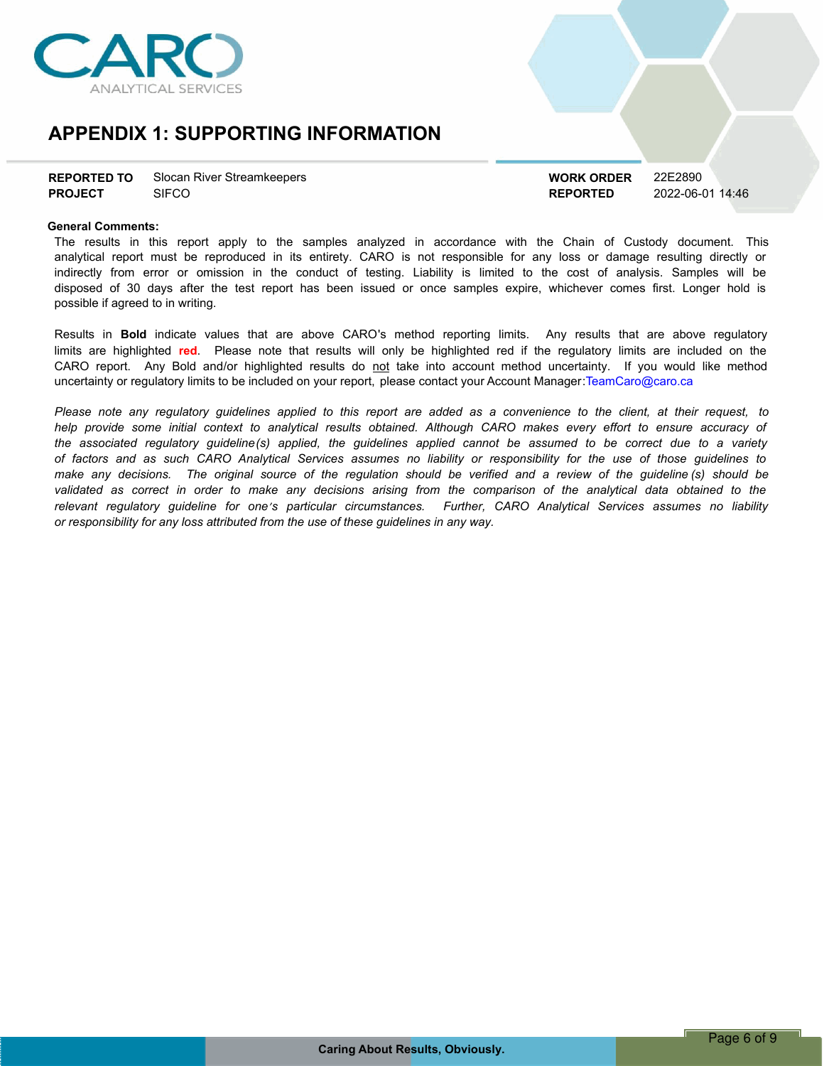

## **APPENDIX 1: SUPPORTING INFORMATION**

| <b>REPORTED TO</b> | Slocan River Streamkeepers |
|--------------------|----------------------------|
| <b>PROJECT</b>     | <b>SIFCO</b>               |

**REPORTED** 2022-06-01 14:46 **WORK ORDER** 22E2890

### **General Comments:**

The results in this report apply to the samples analyzed in accordance with the Chain of Custody document. This analytical report must be reproduced in its entirety. CARO is not responsible for any loss or damage resulting directly or indirectly from error or omission in the conduct of testing. Liability is limited to the cost of analysis. Samples will be disposed of 30 days after the test report has been issued or once samples expire, whichever comes first. Longer hold is possible if agreed to in writing.

Results in **Bold** indicate values that are above CARO's method reporting limits. Any results that are above regulatory limits are highlighted **red**. Please note that results will only be highlighted red if the regulatory limits are included on the CARO report. Any Bold and/or highlighted results do not take into account method uncertainty. If you would like method uncertainty or regulatory limits to be included on your report, please contact your Account Manager:TeamCaro@caro.ca

Please note any requlatory quidelines applied to this report are added as a convenience to the client, at their request, to help provide some initial context to analytical results obtained. Although CARO makes every effort to ensure accuracy of the associated regulatory guideline(s) applied, the guidelines applied cannot be assumed to be correct due to a variety of factors and as such CARO Analytical Services assumes no liability or responsibility for the use of those guidelines to make any decisions. The original source of the regulation should be verified and a review of the guideline (s) should be validated as correct in order to make any decisions arising from the comparison of the analytical data obtained to the *relevant regulatory guideline for oneís particular circumstances. Further, CARO Analytical Services assumes no liability or responsibility for any loss attributed from the use of these guidelines in any way.*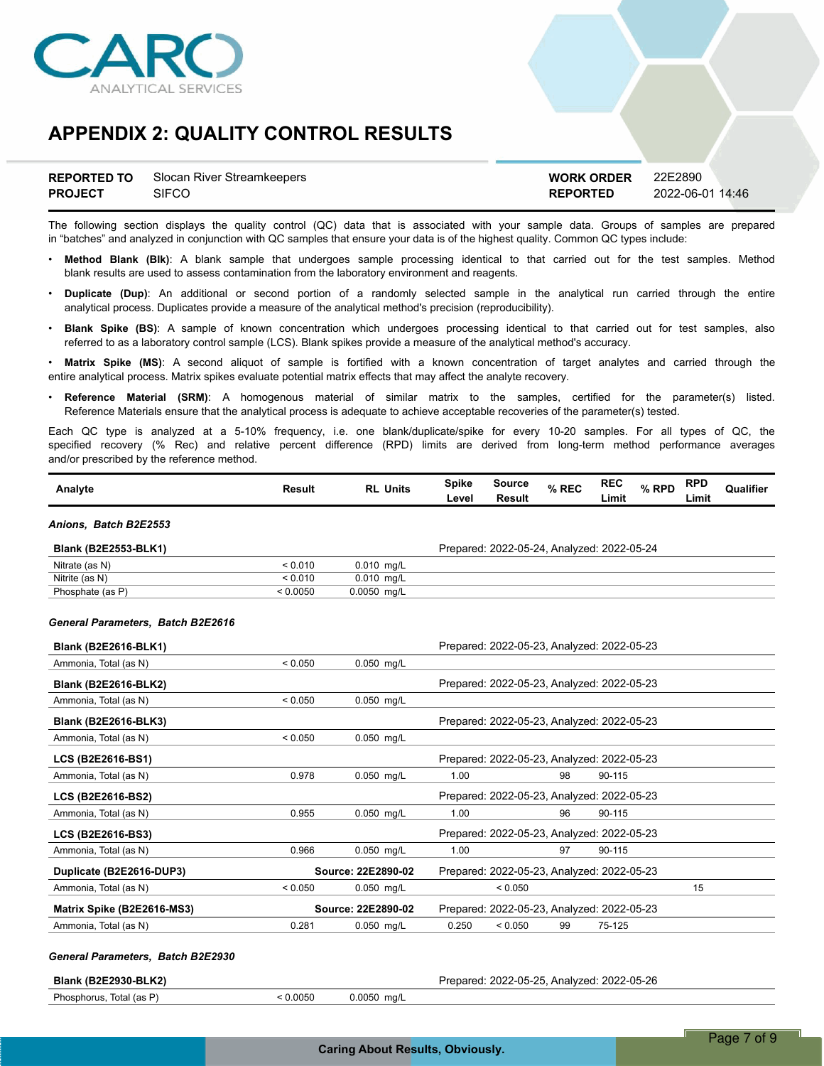

## **APPENDIX 2: QUALITY CONTROL RESULTS**

| <b>REPORTED TO</b> | Slocan River Streamkeepers | <b>WORK ORDER</b> | 22E2890          |
|--------------------|----------------------------|-------------------|------------------|
| <b>PROJECT</b>     | <b>SIFCO</b>               | <b>REPORTED</b>   | 2022-06-01 14:46 |

The following section displays the quality control (QC) data that is associated with your sample data. Groups of samples are prepared in "batches" and analyzed in conjunction with QC samples that ensure your data is of the highest quality. Common QC types include:

- ï **Method Blank (Blk)**: A blank sample that undergoes sample processing identical to that carried out for the test samples. Method blank results are used to assess contamination from the laboratory environment and reagents.
- ï **Duplicate (Dup)**: An additional or second portion of a randomly selected sample in the analytical run carried through the entire analytical process. Duplicates provide a measure of the analytical method's precision (reproducibility).
- ï **Blank Spike (BS)**: A sample of known concentration which undergoes processing identical to that carried out for test samples, also referred to as a laboratory control sample (LCS). Blank spikes provide a measure of the analytical method's accuracy.

Matrix Spike (MS): A second aliquot of sample is fortified with a known concentration of target analytes and carried through the entire analytical process. Matrix spikes evaluate potential matrix effects that may affect the analyte recovery.

ï **Reference Material (SRM)**: A homogenous material of similar matrix to the samples, certified for the parameter(s) listed. Reference Materials ensure that the analytical process is adequate to achieve acceptable recoveries of the parameter(s) tested.

Each QC type is analyzed at a 5-10% frequency, i.e. one blank/duplicate/spike for every 10-20 samples. For all types of QC, the specified recovery (% Rec) and relative percent difference (RPD) limits are derived from long-term method performance averages and/or prescribed by the reference method.

| Analyte | Result | <b>Units</b><br>RL | Spike | Source | % REC | <b>REC</b> | <b>RPD</b><br>% RPD<br>7٥ | <b>Qualifier</b> |
|---------|--------|--------------------|-------|--------|-------|------------|---------------------------|------------------|
|         |        |                    | Level | Result |       | Limit      | Limit                     |                  |

#### *Anions, Batch B2E2553*

| <b>Blank (B2E2553-BLK1)</b> |          |               | Prepared: 2022-05-24, Analyzed: 2022-05-24 |
|-----------------------------|----------|---------------|--------------------------------------------|
| Nitrate (as N)              | < 0.010  | 0.010 ma/L    |                                            |
| Nitrite (as N)              | < 0.010  | 0.010 ma/L    |                                            |
| Phosphate (as P)            | : 0.0050 | $0.0050$ mg/L |                                            |

#### *General Parameters, Batch B2E2616*

| <b>Blank (B2E2616-BLK1)</b> |                    |                    |                                            |         |    | Prepared: 2022-05-23, Analyzed: 2022-05-23 |    |
|-----------------------------|--------------------|--------------------|--------------------------------------------|---------|----|--------------------------------------------|----|
| Ammonia, Total (as N)       | < 0.050            | 0.050 mg/L         |                                            |         |    |                                            |    |
| <b>Blank (B2E2616-BLK2)</b> |                    |                    |                                            |         |    | Prepared: 2022-05-23, Analyzed: 2022-05-23 |    |
| Ammonia, Total (as N)       | < 0.050            | $0.050$ mg/L       |                                            |         |    |                                            |    |
| <b>Blank (B2E2616-BLK3)</b> |                    |                    |                                            |         |    | Prepared: 2022-05-23, Analyzed: 2022-05-23 |    |
| Ammonia, Total (as N)       | < 0.050            | 0.050 mg/L         |                                            |         |    |                                            |    |
| LCS (B2E2616-BS1)           |                    |                    |                                            |         |    | Prepared: 2022-05-23, Analyzed: 2022-05-23 |    |
| Ammonia, Total (as N)       | 0.978              | $0.050$ mg/L       | 1.00                                       |         | 98 | 90-115                                     |    |
| <b>LCS (B2E2616-BS2)</b>    |                    |                    |                                            |         |    | Prepared: 2022-05-23, Analyzed: 2022-05-23 |    |
| Ammonia, Total (as N)       | 0.955              | $0.050$ mg/L       | 1.00                                       |         | 96 | 90-115                                     |    |
| <b>LCS (B2E2616-BS3)</b>    |                    |                    |                                            |         |    | Prepared: 2022-05-23, Analyzed: 2022-05-23 |    |
| Ammonia, Total (as N)       | 0.966              | $0.050$ mg/L       | 1.00                                       |         | 97 | 90-115                                     |    |
| Duplicate (B2E2616-DUP3)    | Source: 22E2890-02 |                    | Prepared: 2022-05-23, Analyzed: 2022-05-23 |         |    |                                            |    |
| Ammonia, Total (as N)       | < 0.050            | $0.050$ mg/L       |                                            | < 0.050 |    |                                            | 15 |
| Matrix Spike (B2E2616-MS3)  |                    | Source: 22E2890-02 |                                            |         |    | Prepared: 2022-05-23, Analyzed: 2022-05-23 |    |
| Ammonia, Total (as N)       | 0.281              | $0.050$ mg/L       | 0.250                                      | < 0.050 | 99 | 75-125                                     |    |

#### *General Parameters, Batch B2E2930*

**Blank (B2E2930-BLK2)** Prepared: 2022-05-25, Analyzed: 2022-05-26 Phosphorus, Total (as P)  $\leq 0.0050$  0.0050 mg/L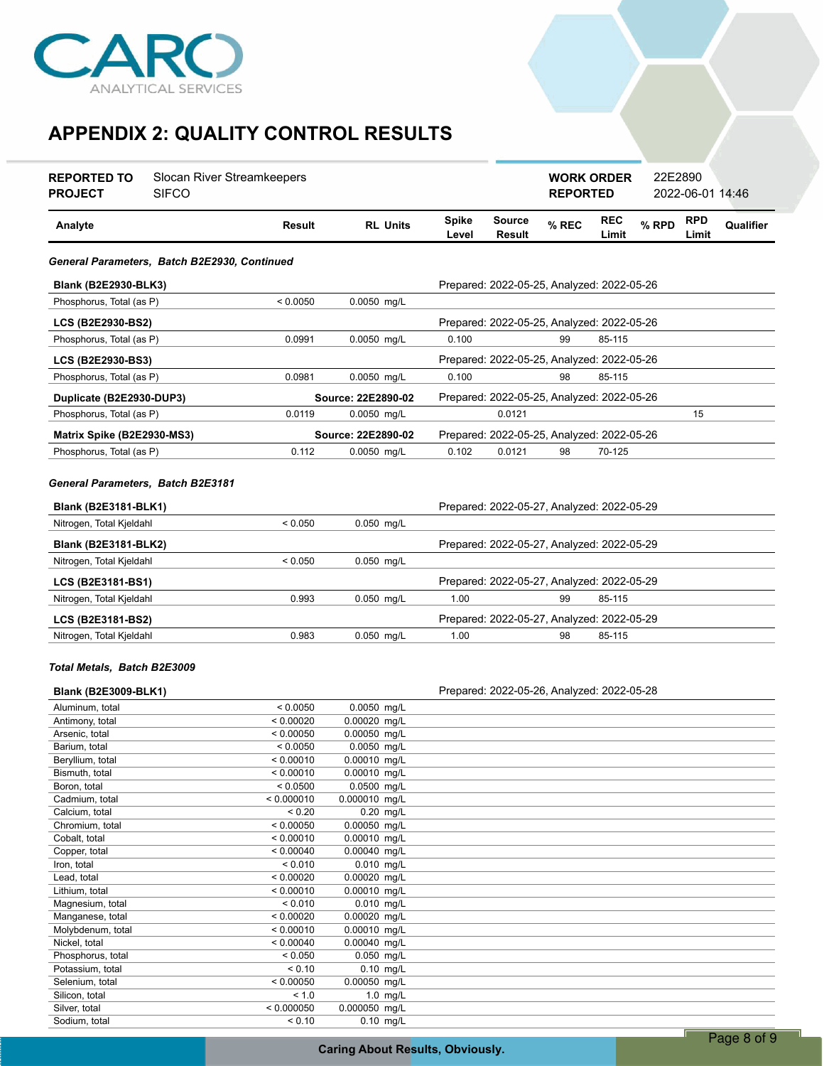

# **APPENDIX 2: QUALITY CONTROL RESULTS**

| <b>REPORTED TO</b><br><b>PROJECT</b>                       | Slocan River Streamkeepers<br><b>SIFCO</b>   |                        |                              |                       |                                            | <b>WORK ORDER</b><br><b>REPORTED</b> |                     | 22E2890 | 2022-06-01 14:46    |           |
|------------------------------------------------------------|----------------------------------------------|------------------------|------------------------------|-----------------------|--------------------------------------------|--------------------------------------|---------------------|---------|---------------------|-----------|
| Analyte                                                    |                                              | Result                 | <b>RL Units</b>              | <b>Spike</b><br>Level | <b>Source</b><br><b>Result</b>             | % REC                                | <b>REC</b><br>Limit | % RPD   | <b>RPD</b><br>Limit | Qualifier |
|                                                            | General Parameters, Batch B2E2930, Continued |                        |                              |                       |                                            |                                      |                     |         |                     |           |
| <b>Blank (B2E2930-BLK3)</b>                                |                                              |                        |                              |                       | Prepared: 2022-05-25, Analyzed: 2022-05-26 |                                      |                     |         |                     |           |
| Phosphorus, Total (as P)                                   |                                              | < 0.0050               | 0.0050 mg/L                  |                       |                                            |                                      |                     |         |                     |           |
| LCS (B2E2930-BS2)                                          |                                              |                        |                              |                       | Prepared: 2022-05-25, Analyzed: 2022-05-26 |                                      |                     |         |                     |           |
| Phosphorus, Total (as P)                                   |                                              | 0.0991                 | 0.0050 mg/L                  | 0.100                 |                                            | 99                                   | 85-115              |         |                     |           |
|                                                            |                                              |                        |                              |                       |                                            |                                      |                     |         |                     |           |
| LCS (B2E2930-BS3)                                          |                                              |                        |                              |                       | Prepared: 2022-05-25, Analyzed: 2022-05-26 |                                      |                     |         |                     |           |
| Phosphorus, Total (as P)                                   |                                              | 0.0981                 | 0.0050 mg/L                  | 0.100                 |                                            | 98                                   | 85-115              |         |                     |           |
| Duplicate (B2E2930-DUP3)                                   |                                              |                        | Source: 22E2890-02           |                       | Prepared: 2022-05-25, Analyzed: 2022-05-26 |                                      |                     |         |                     |           |
| Phosphorus, Total (as P)                                   |                                              | 0.0119                 | 0.0050 mg/L                  |                       | 0.0121                                     |                                      |                     |         | 15                  |           |
| Matrix Spike (B2E2930-MS3)                                 |                                              |                        | Source: 22E2890-02           |                       | Prepared: 2022-05-25, Analyzed: 2022-05-26 |                                      |                     |         |                     |           |
| Phosphorus, Total (as P)                                   |                                              | 0.112                  | 0.0050 mg/L                  | 0.102                 | 0.0121                                     | 98                                   | 70-125              |         |                     |           |
| General Parameters,  Batch B2E3181                         |                                              |                        |                              |                       |                                            |                                      |                     |         |                     |           |
| <b>Blank (B2E3181-BLK1)</b>                                |                                              |                        |                              |                       | Prepared: 2022-05-27, Analyzed: 2022-05-29 |                                      |                     |         |                     |           |
| Nitrogen, Total Kjeldahl                                   |                                              | < 0.050                | 0.050 mg/L                   |                       |                                            |                                      |                     |         |                     |           |
| <b>Blank (B2E3181-BLK2)</b>                                |                                              |                        |                              |                       | Prepared: 2022-05-27, Analyzed: 2022-05-29 |                                      |                     |         |                     |           |
| Nitrogen, Total Kjeldahl                                   |                                              | < 0.050                | 0.050 mg/L                   |                       |                                            |                                      |                     |         |                     |           |
| LCS (B2E3181-BS1)                                          |                                              |                        |                              |                       | Prepared: 2022-05-27, Analyzed: 2022-05-29 |                                      |                     |         |                     |           |
| Nitrogen, Total Kjeldahl                                   |                                              | 0.993                  | $0.050$ mg/L                 | 1.00                  |                                            | 99                                   | 85-115              |         |                     |           |
| LCS (B2E3181-BS2)                                          |                                              |                        |                              |                       | Prepared: 2022-05-27, Analyzed: 2022-05-29 |                                      |                     |         |                     |           |
| Nitrogen, Total Kjeldahl                                   |                                              | 0.983                  | 0.050 mg/L                   | 1.00                  |                                            | 98                                   | 85-115              |         |                     |           |
| Total Metals, Batch B2E3009<br><b>Blank (B2E3009-BLK1)</b> |                                              |                        |                              |                       | Prepared: 2022-05-26, Analyzed: 2022-05-28 |                                      |                     |         |                     |           |
| Aluminum, total                                            |                                              | < 0.0050               | 0.0050 mg/L                  |                       |                                            |                                      |                     |         |                     |           |
| Antimony, total                                            |                                              | < 0.00020              | 0.00020 mg/L                 |                       |                                            |                                      |                     |         |                     |           |
| Arsenic, total                                             |                                              | < 0.00050              | 0.00050 mg/L                 |                       |                                            |                                      |                     |         |                     |           |
| Barium, total                                              |                                              | < 0.0050               | 0.0050 mg/L                  |                       |                                            |                                      |                     |         |                     |           |
| Beryllium, total                                           |                                              | < 0.00010<br>< 0.00010 | 0.00010 mg/L<br>0.00010 mg/L |                       |                                            |                                      |                     |         |                     |           |
| Bismuth, total<br>Boron, total                             |                                              | < 0.0500               | 0.0500 mg/L                  |                       |                                            |                                      |                     |         |                     |           |
| Cadmium, total                                             |                                              | < 0.000010             | 0.000010 mg/L                |                       |                                            |                                      |                     |         |                     |           |
| Calcium, total                                             |                                              | ${}_{0.20}$            | 0.20 mg/L                    |                       |                                            |                                      |                     |         |                     |           |
| Chromium, total                                            |                                              | < 0.00050              | 0.00050 mg/L                 |                       |                                            |                                      |                     |         |                     |           |
| Cobalt, total                                              |                                              | < 0.00010              | 0.00010 mg/L                 |                       |                                            |                                      |                     |         |                     |           |
| Copper, total                                              |                                              | < 0.00040              | 0.00040 mg/L                 |                       |                                            |                                      |                     |         |                     |           |
| Iron, total<br>Lead, total                                 |                                              | < 0.010<br>< 0.00020   | $0.010$ mg/L<br>0.00020 mg/L |                       |                                            |                                      |                     |         |                     |           |
| Lithium, total                                             |                                              | < 0.00010              | 0.00010 mg/L                 |                       |                                            |                                      |                     |         |                     |           |
| Magnesium, total                                           |                                              | < 0.010                | 0.010 mg/L                   |                       |                                            |                                      |                     |         |                     |           |
| Manganese, total                                           |                                              | < 0.00020              | 0.00020 mg/L                 |                       |                                            |                                      |                     |         |                     |           |
| Molybdenum, total                                          |                                              | < 0.00010              | 0.00010 mg/L                 |                       |                                            |                                      |                     |         |                     |           |
| Nickel, total                                              |                                              | < 0.00040              | 0.00040 mg/L                 |                       |                                            |                                      |                     |         |                     |           |
| Phosphorus, total                                          |                                              | < 0.050                | 0.050 mg/L                   |                       |                                            |                                      |                     |         |                     |           |
| Potassium, total                                           |                                              | < 0.10                 | 0.10 mg/L                    |                       |                                            |                                      |                     |         |                     |           |
| Selenium, total                                            |                                              | < 0.00050<br>< 1.0     | 0.00050 mg/L                 |                       |                                            |                                      |                     |         |                     |           |
| Silicon, total<br>Silver, total                            |                                              | < 0.000050             | 1.0 mg/L<br>0.000050 mg/L    |                       |                                            |                                      |                     |         |                     |           |
| Sodium, total                                              |                                              | < 0.10                 | $0.10$ mg/L                  |                       |                                            |                                      |                     |         |                     |           |